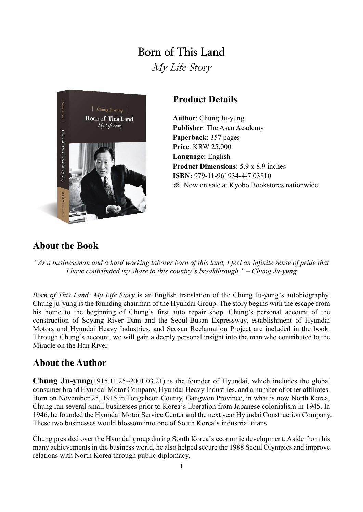# **Born of This Land**

My Life Story



## **Product Details**

**Author**: Chung Ju-yung **Publisher**: The Asan Academy **Paperback**: 357 pages **Price**: KRW 25,000 **Language:** English **Product Dimensions**: 5.9 x 8.9 inches **ISBN:** 979-11-961934-4-7 03810 ※ Now on sale at Kyobo Bookstores nationwide

### **About the Book**

*"As a businessman and a hard working laborer born of this land, I feel an infinite sense of pride that I have contributed my share to this country's breakthrough." – Chung Ju-yung*

*Born of This Land: My Life Story* is an English translation of the Chung Ju-yung's autobiography. Chung ju-yung is the founding chairman of the Hyundai Group. The story begins with the escape from his home to the beginning of Chung's first auto repair shop. Chung's personal account of the construction of Soyang River Dam and the Seoul-Busan Expressway, establishment of Hyundai Motors and Hyundai Heavy Industries, and Seosan Reclamation Project are included in the book. Through Chung's account, we will gain a deeply personal insight into the man who contributed to the Miracle on the Han River.

### **About the Author**

**Chung Ju-yung**(1915.11.25~2001.03.21) is the founder of Hyundai, which includes the global consumer brand Hyundai Motor Company, Hyundai Heavy Industries, and a number of other affiliates. Born on November 25, 1915 in Tongcheon County, Gangwon Province, in what is now North Korea, Chung ran several small businesses prior to Korea's liberation from Japanese colonialism in 1945. In 1946, he founded the Hyundai Motor Service Center and the next year Hyundai Construction Company. These two businesses would blossom into one of South Korea's industrial titans.

Chung presided over the Hyundai group during South Korea's economic development. Aside from his many achievements in the business world, he also helped secure the 1988 Seoul Olympics and improve relations with North Korea through public diplomacy.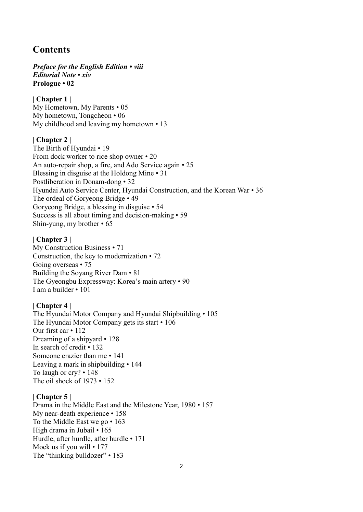### **Contents**

*Preface for the English Edition • viii Editorial Note • xiv* **Prologue • 02**

**| Chapter 1 |** My Hometown, My Parents • 05 My hometown, Tongcheon • 06 My childhood and leaving my hometown • 13

#### **| Chapter 2 |**

The Birth of Hyundai • 19 From dock worker to rice shop owner • 20 An auto-repair shop, a fire, and Ado Service again • 25 Blessing in disguise at the Holdong Mine • 31 Postliberation in Donam-dong • 32 Hyundai Auto Service Center, Hyundai Construction, and the Korean War • 36 The ordeal of Goryeong Bridge • 49 Goryeong Bridge, a blessing in disguise • 54 Success is all about timing and decision-making • 59 Shin-yung, my brother • 65

#### **| Chapter 3 |**

My Construction Business • 71 Construction, the key to modernization • 72 Going overseas • 75 Building the Soyang River Dam • 81 The Gyeongbu Expressway: Korea's main artery • 90 I am a builder • 101

#### **| Chapter 4 |**

The Hyundai Motor Company and Hyundai Shipbuilding • 105 The Hyundai Motor Company gets its start • 106 Our first car • 112 Dreaming of a shipyard • 128 In search of credit • 132 Someone crazier than me • 141 Leaving a mark in shipbuilding • 144 To laugh or cry? • 148 The oil shock of 1973 • 152

#### **| Chapter 5 |**

Drama in the Middle East and the Milestone Year, 1980 • 157 My near-death experience • 158 To the Middle East we go • 163 High drama in Jubail • 165 Hurdle, after hurdle, after hurdle • 171 Mock us if you will • 177 The "thinking bulldozer" • 183